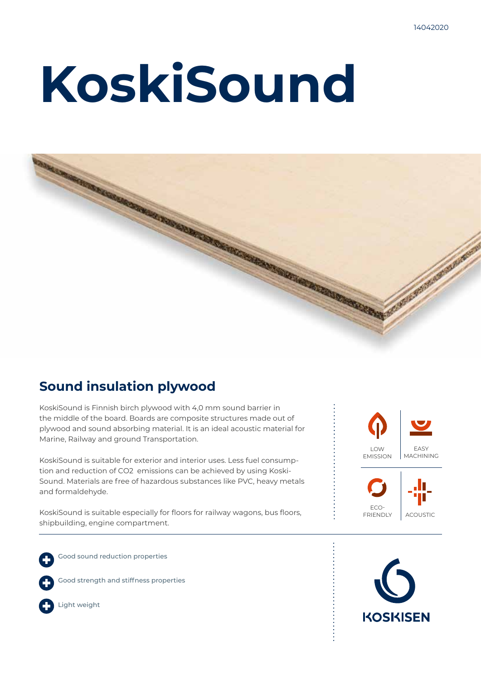# **KoskiSound**



## **Sound insulation plywood**

KoskiSound is Finnish birch plywood with 4,0 mm sound barrier in the middle of the board. Boards are composite structures made out of plywood and sound absorbing material. It is an ideal acoustic material for Marine, Railway and ground Transportation.

KoskiSound is suitable for exterior and interior uses. Less fuel consumption and reduction of CO2 emissions can be achieved by using Koski-Sound. Materials are free of hazardous substances like PVC, heavy metals and formaldehyde.

KoskiSound is suitable especially for floors for railway wagons, bus floors, shipbuilding, engine compartment.

Good sound reduction properties









Light weight